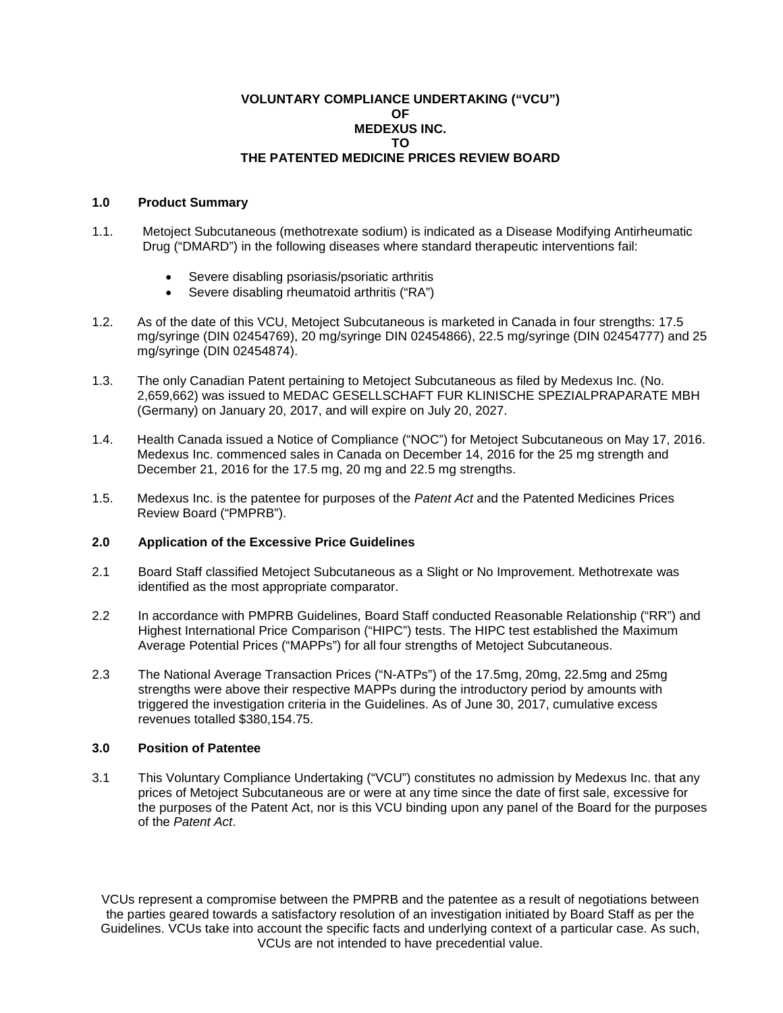### **VOLUNTARY COMPLIANCE UNDERTAKING ("VCU") OF MEDEXUS INC. TO THE PATENTED MEDICINE PRICES REVIEW BOARD**

## **1.0 Product Summary**

- 1.1. Metoject Subcutaneous (methotrexate sodium) is indicated as a Disease Modifying Antirheumatic Drug ("DMARD") in the following diseases where standard therapeutic interventions fail:
	- Severe disabling psoriasis/psoriatic arthritis
	- Severe disabling rheumatoid arthritis ("RA")
- 1.2. As of the date of this VCU, Metoject Subcutaneous is marketed in Canada in four strengths: 17.5 mg/syringe (DIN 02454769), 20 mg/syringe DIN 02454866), 22.5 mg/syringe (DIN 02454777) and 25 mg/syringe (DIN 02454874).
- 1.3. The only Canadian Patent pertaining to Metoject Subcutaneous as filed by Medexus Inc. (No. 2,659,662) was issued to MEDAC GESELLSCHAFT FUR KLINISCHE SPEZIALPRAPARATE MBH (Germany) on January 20, 2017, and will expire on July 20, 2027.
- 1.4. Health Canada issued a Notice of Compliance ("NOC") for Metoject Subcutaneous on May 17, 2016. Medexus Inc. commenced sales in Canada on December 14, 2016 for the 25 mg strength and December 21, 2016 for the 17.5 mg, 20 mg and 22.5 mg strengths.
- 1.5. Medexus Inc. is the patentee for purposes of the *Patent Act* and the Patented Medicines Prices Review Board ("PMPRB").

## **2.0 Application of the Excessive Price Guidelines**

- 2.1 Board Staff classified Metoject Subcutaneous as a Slight or No Improvement. Methotrexate was identified as the most appropriate comparator.
- 2.2 In accordance with PMPRB Guidelines, Board Staff conducted Reasonable Relationship ("RR") and Highest International Price Comparison ("HIPC") tests. The HIPC test established the Maximum Average Potential Prices ("MAPPs") for all four strengths of Metoject Subcutaneous.
- 2.3 The National Average Transaction Prices ("N-ATPs") of the 17.5mg, 20mg, 22.5mg and 25mg strengths were above their respective MAPPs during the introductory period by amounts with triggered the investigation criteria in the Guidelines. As of June 30, 2017, cumulative excess revenues totalled \$380,154.75.

### **3.0 Position of Patentee**

3.1 This Voluntary Compliance Undertaking ("VCU") constitutes no admission by Medexus Inc. that any prices of Metoject Subcutaneous are or were at any time since the date of first sale, excessive for the purposes of the Patent Act, nor is this VCU binding upon any panel of the Board for the purposes of the *Patent Act*.

VCUs represent a compromise between the PMPRB and the patentee as a result of negotiations between the parties geared towards a satisfactory resolution of an investigation initiated by Board Staff as per the Guidelines. VCUs take into account the specific facts and underlying context of a particular case. As such, VCUs are not intended to have precedential value.